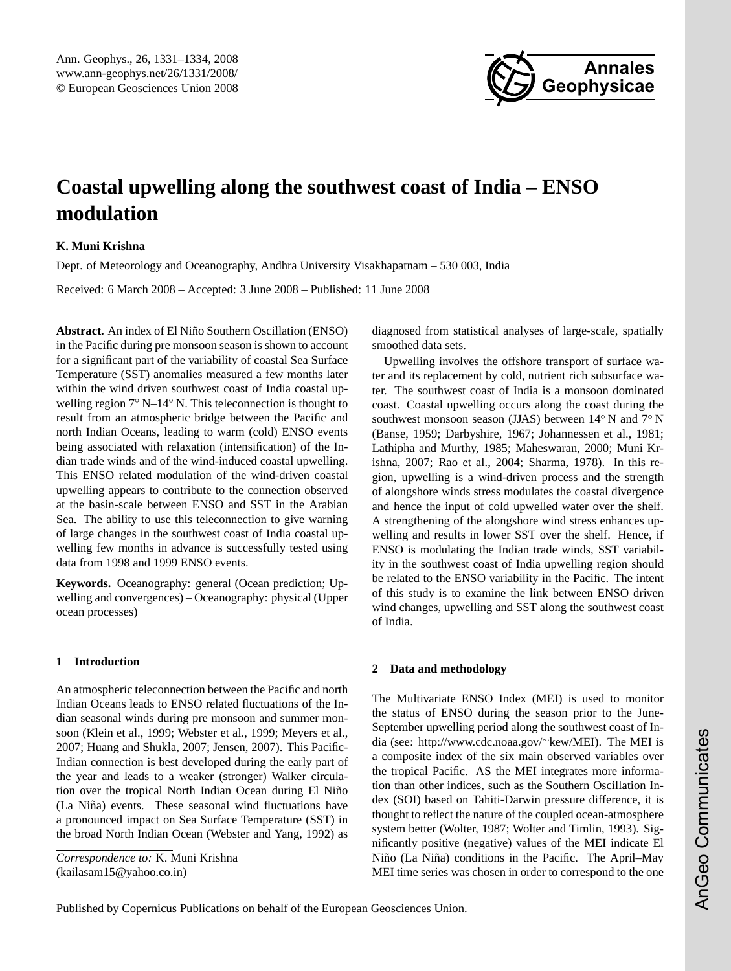

# <span id="page-0-0"></span>**Coastal upwelling along the southwest coast of India – ENSO modulation**

## **K. Muni Krishna**

Dept. of Meteorology and Oceanography, Andhra University Visakhapatnam – 530 003, India

Received: 6 March 2008 – Accepted: 3 June 2008 – Published: 11 June 2008

Abstract. An index of El Niño Southern Oscillation (ENSO) in the Pacific during pre monsoon season is shown to account for a significant part of the variability of coastal Sea Surface Temperature (SST) anomalies measured a few months later within the wind driven southwest coast of India coastal upwelling region 7◦ N–14◦ N. This teleconnection is thought to result from an atmospheric bridge between the Pacific and north Indian Oceans, leading to warm (cold) ENSO events being associated with relaxation (intensification) of the Indian trade winds and of the wind-induced coastal upwelling. This ENSO related modulation of the wind-driven coastal upwelling appears to contribute to the connection observed at the basin-scale between ENSO and SST in the Arabian Sea. The ability to use this teleconnection to give warning of large changes in the southwest coast of India coastal upwelling few months in advance is successfully tested using data from 1998 and 1999 ENSO events.

**Keywords.** Oceanography: general (Ocean prediction; Upwelling and convergences) – Oceanography: physical (Upper ocean processes)

#### **1 Introduction**

An atmospheric teleconnection between the Pacific and north Indian Oceans leads to ENSO related fluctuations of the Indian seasonal winds during pre monsoon and summer monsoon (Klein et al., 1999; Webster et al., 1999; Meyers et al., 2007; Huang and Shukla, 2007; Jensen, 2007). This Pacific-Indian connection is best developed during the early part of the year and leads to a weaker (stronger) Walker circulation over the tropical North Indian Ocean during El Niño (La Niña) events. These seasonal wind fluctuations have a pronounced impact on Sea Surface Temperature (SST) in the broad North Indian Ocean (Webster and Yang, 1992) as

*Correspondence to:* K. Muni Krishna (kailasam15@yahoo.co.in)

diagnosed from statistical analyses of large-scale, spatially smoothed data sets.

Upwelling involves the offshore transport of surface water and its replacement by cold, nutrient rich subsurface water. The southwest coast of India is a monsoon dominated coast. Coastal upwelling occurs along the coast during the southwest monsoon season (JJAS) between 14◦ N and 7◦ N (Banse, 1959; Darbyshire, 1967; Johannessen et al., 1981; Lathipha and Murthy, 1985; Maheswaran, 2000; Muni Krishna, 2007; Rao et al., 2004; Sharma, 1978). In this region, upwelling is a wind-driven process and the strength of alongshore winds stress modulates the coastal divergence and hence the input of cold upwelled water over the shelf. A strengthening of the alongshore wind stress enhances upwelling and results in lower SST over the shelf. Hence, if ENSO is modulating the Indian trade winds, SST variability in the southwest coast of India upwelling region should be related to the ENSO variability in the Pacific. The intent of this study is to examine the link between ENSO driven wind changes, upwelling and SST along the southwest coast of India.

#### **2 Data and methodology**

The Multivariate ENSO Index (MEI) is used to monitor the status of ENSO during the season prior to the June-September upwelling period along the southwest coast of India (see: [http://www.cdc.noaa.gov/](http://www.cdc.noaa.gov/~kew/MEI)∼kew/MEI). The MEI is a composite index of the six main observed variables over the tropical Pacific. AS the MEI integrates more information than other indices, such as the Southern Oscillation Index (SOI) based on Tahiti-Darwin pressure difference, it is thought to reflect the nature of the coupled ocean-atmosphere system better (Wolter, 1987; Wolter and Timlin, 1993). Significantly positive (negative) values of the MEI indicate El Niño (La Niña) conditions in the Pacific. The April–May MEI time series was chosen in order to correspond to the one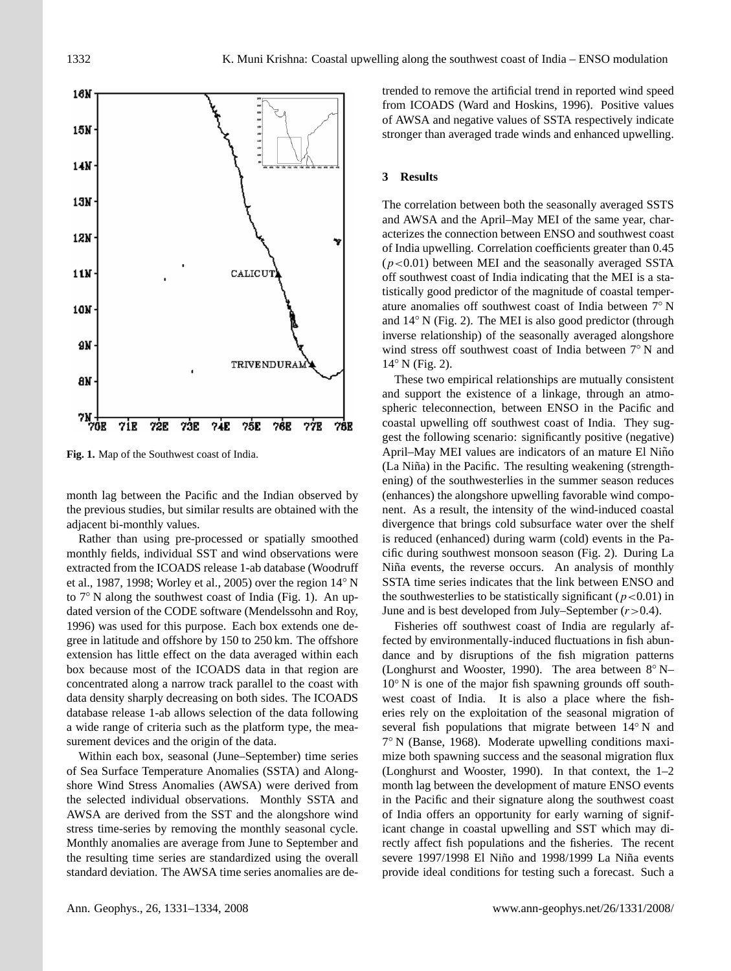

Fig. 1. Map of the Southwest coast of India.

month lag between the Pacific and the Indian observed by the previous studies, but similar results are obtained with the adjacent bi-monthly values.

Rather than using pre-processed or spatially smoothed monthly fields, individual SST and wind observations were extracted from the ICOADS release 1-ab database (Woodruff et al., 1987, 1998; Worley et al., 2005) over the region 14◦ N to 7◦ N along the southwest coast of India (Fig. 1). An updated version of the CODE software (Mendelssohn and Roy, 1996) was used for this purpose. Each box extends one degree in latitude and offshore by 150 to 250 km. The offshore extension has little effect on the data averaged within each box because most of the ICOADS data in that region are concentrated along a narrow track parallel to the coast with data density sharply decreasing on both sides. The ICOADS database release 1-ab allows selection of the data following a wide range of criteria such as the platform type, the measurement devices and the origin of the data.

Within each box, seasonal (June–September) time series of Sea Surface Temperature Anomalies (SSTA) and Alongshore Wind Stress Anomalies (AWSA) were derived from the selected individual observations. Monthly SSTA and AWSA are derived from the SST and the alongshore wind stress time-series by removing the monthly seasonal cycle. Monthly anomalies are average from June to September and the resulting time series are standardized using the overall standard deviation. The AWSA time series anomalies are de-

trended to remove the artificial trend in reported wind speed from ICOADS (Ward and Hoskins, 1996). Positive values of AWSA and negative values of SSTA respectively indicate stronger than averaged trade winds and enhanced upwelling.

#### **3 Results**

The correlation between both the seasonally averaged SSTS and AWSA and the April–May MEI of the same year, characterizes the connection between ENSO and southwest coast of India upwelling. Correlation coefficients greater than 0.45  $(p<0.01)$  between MEI and the seasonally averaged SSTA off southwest coast of India indicating that the MEI is a statistically good predictor of the magnitude of coastal temperature anomalies off southwest coast of India between 7◦ N and 14◦ N (Fig. 2). The MEI is also good predictor (through inverse relationship) of the seasonally averaged alongshore wind stress off southwest coast of India between 7◦ N and 14◦ N (Fig. 2).

These two empirical relationships are mutually consistent and support the existence of a linkage, through an atmospheric teleconnection, between ENSO in the Pacific and coastal upwelling off southwest coast of India. They suggest the following scenario: significantly positive (negative) April–May MEI values are indicators of an mature El Niño (La Niña) in the Pacific. The resulting weakening (strengthening) of the southwesterlies in the summer season reduces (enhances) the alongshore upwelling favorable wind component. As a result, the intensity of the wind-induced coastal divergence that brings cold subsurface water over the shelf is reduced (enhanced) during warm (cold) events in the Pacific during southwest monsoon season (Fig. 2). During La Niña events, the reverse occurs. An analysis of monthly SSTA time series indicates that the link between ENSO and the southwesterlies to be statistically significant ( $p < 0.01$ ) in June and is best developed from July–September  $(r>0.4)$ .

Fisheries off southwest coast of India are regularly affected by environmentally-induced fluctuations in fish abundance and by disruptions of the fish migration patterns (Longhurst and Wooster, 1990). The area between  $8^\circ$  N– 10◦ N is one of the major fish spawning grounds off southwest coast of India. It is also a place where the fisheries rely on the exploitation of the seasonal migration of several fish populations that migrate between 14<sup>°</sup> N and 7 ◦ N (Banse, 1968). Moderate upwelling conditions maximize both spawning success and the seasonal migration flux (Longhurst and Wooster, 1990). In that context, the 1–2 month lag between the development of mature ENSO events in the Pacific and their signature along the southwest coast of India offers an opportunity for early warning of significant change in coastal upwelling and SST which may directly affect fish populations and the fisheries. The recent severe 1997/1998 El Niño and 1998/1999 La Niña events provide ideal conditions for testing such a forecast. Such a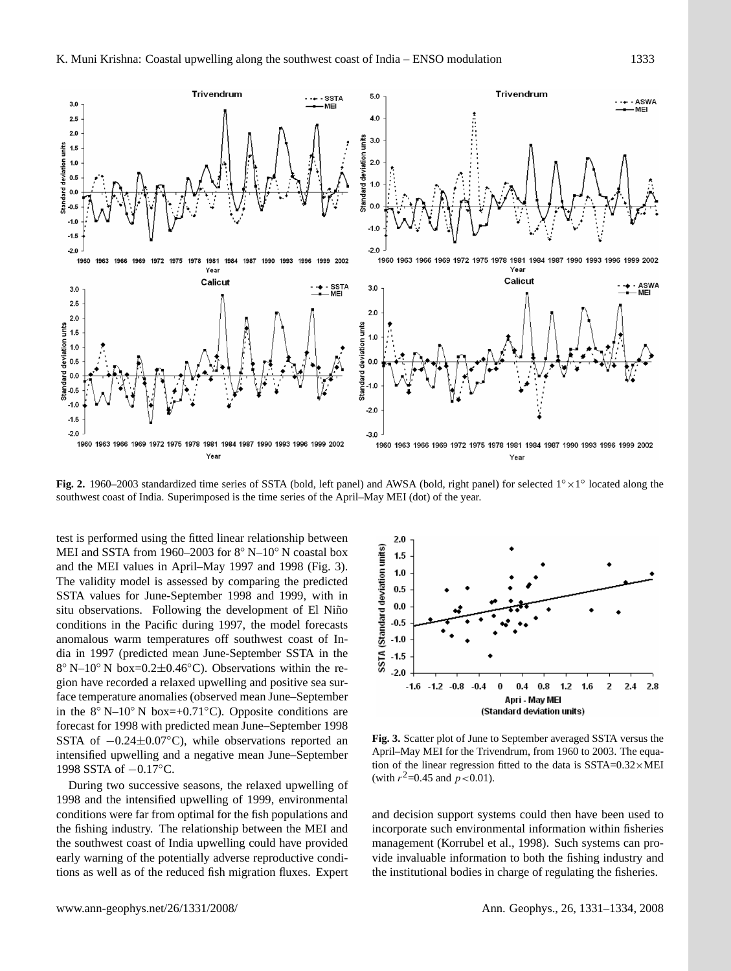

Figure 2**.** 1960 – 2003 standardized time series of SSTA (bold, left panel) and AWSA Fig. 2. 1960–2003 standardized time series of SSTA (bold, left panel) and AWSA (bold, right panel) for selected 1° × 1° located along the southwest coast of India. Superimposed is the time series of the April–May MEI (dot) of the year.

MEI and SSTA from 1960–2003 for 8° N–10° N coastal box  $\frac{2}{15}$  1.5 and the MEI values in April–May 1997 and 1998 (Fig. 3). The validity model is assessed by comparing the predicted SSTA values for June-September 1998 and 1999, with in situ observations. Following the development of El Niño conditions in the Pacific during 1997, the model forecasts anomalous warm temperatures off southwest coast of India in 1997 (predicted mean June-September SSTA in the 8 ◦ N–10◦ N box=0.2±0.46◦C). Observations within the region have recorded a relaxed upwelling and positive sea surface temperature anomalies (observed mean June–September in the  $8°$  N–10° N box=+0.71°C). Opposite conditions are forecast for 1998 with predicted mean June–September 1998 SSTA of  $-0.24\pm0.07$ °C), while observations reported an intensified upwelling and a negative mean June–September 1998 SSTA of −0.17◦C.

During two successive seasons, the relaxed upwelling of 1998 and the intensified upwelling of 1999, environmental conditions were far from optimal for the fish populations and the fishing industry. The relationship between the MEI and the southwest coast of India upwelling could have provided early warning of the potentially adverse reproductive conditions as well as of the reduced fish migration fluxes. Expert



 $F_{\text{m}}$  and  $F_{\text{m}}$  april–May MEI for the Trivendrum, from 1960 to 2003. The equation of the linear regression fitted to the data is  $SSTA=0.32\times \text{MEI}$ (with  $r^2 = 0.45$  and  $p < 0.01$ ). **Fig. 3.** Scatter plot of June to September averaged SSTA versus the

and decision support systems could then have been used to incorporate such environmental information within fisheries management (Korrubel et al., 1998). Such systems can provide invaluable information to both the fishing industry and the institutional bodies in charge of regulating the fisheries.